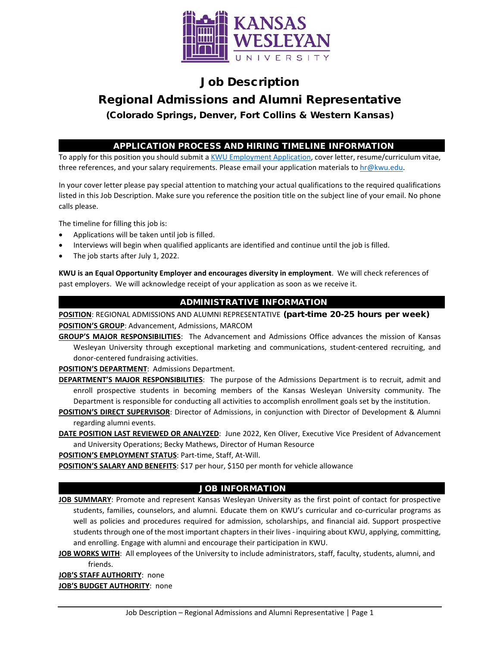

# Job Description Regional Admissions and Alumni Representative (Colorado Springs, Denver, Fort Collins & Western Kansas)

## APPLICATION PROCESS AND HIRING TIMELINE INFORMATION

To apply for this position you should submit [a KWU Employment Application,](https://www.kwu.edu/wp-content/uploads/Employment-Application-Form-ELECTRONIC-Revised-3-.pdf) cover letter, resume/curriculum vitae, three references, and your salary requirements. Please email your application materials to [hr@kwu.edu.](mailto:hr@kwu.edu)

In your cover letter please pay special attention to matching your actual qualifications to the required qualifications listed in this Job Description. Make sure you reference the position title on the subject line of your email. No phone calls please.

The timeline for filling this job is:

- Applications will be taken until job is filled.
- Interviews will begin when qualified applicants are identified and continue until the job is filled.
- The job starts after July 1, 2022.

**KWU is an Equal Opportunity Employer and encourages diversity in employment**. We will check references of past employers. We will acknowledge receipt of your application as soon as we receive it.

#### ADMINISTRATIVE INFORMATION

**POSITION**: REGIONAL ADMISSIONS AND ALUMNI REPRESENTATIVE (part-time 20-25 hours per week) **POSITION'S GROUP**: Advancement, Admissions, MARCOM

**GROUP'S MAJOR RESPONSIBILITIES**: The Advancement and Admissions Office advances the mission of Kansas Wesleyan University through exceptional marketing and communications, student-centered recruiting, and donor-centered fundraising activities.

**POSITION'S DEPARTMENT**: Admissions Department.

- **DEPARTMENT'S MAJOR RESPONSIBILITIES**: The purpose of the Admissions Department is to recruit, admit and enroll prospective students in becoming members of the Kansas Wesleyan University community. The Department is responsible for conducting all activities to accomplish enrollment goals set by the institution.
- **POSITION'S DIRECT SUPERVISOR**: Director of Admissions, in conjunction with Director of Development & Alumni regarding alumni events.
- **DATE POSITION LAST REVIEWED OR ANALYZED**: June 2022, Ken Oliver, Executive Vice President of Advancement and University Operations; Becky Mathews, Director of Human Resource

**POSITION'S EMPLOYMENT STATUS**: Part-time, Staff, At-Will.

**POSITION'S SALARY AND BENEFITS**: \$17 per hour, \$150 per month for vehicle allowance

#### JOB INFORMATION

**JOB SUMMARY**: Promote and represent Kansas Wesleyan University as the first point of contact for prospective students, families, counselors, and alumni. Educate them on KWU's curricular and co-curricular programs as well as policies and procedures required for admission, scholarships, and financial aid. Support prospective students through one of the most important chapters in their lives - inquiring about KWU, applying, committing, and enrolling. Engage with alumni and encourage their participation in KWU.

**JOB WORKS WITH**: All employees of the University to include administrators, staff, faculty, students, alumni, and friends.

**JOB'S STAFF AUTHORITY**: none **JOB'S BUDGET AUTHORITY**: none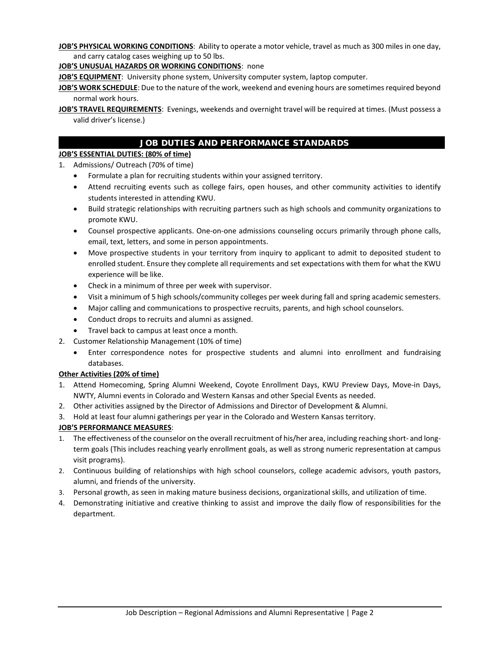**JOB'S PHYSICAL WORKING CONDITIONS**: Ability to operate a motor vehicle, travel as much as 300 miles in one day, and carry catalog cases weighing up to 50 lbs.

**JOB'S UNUSUAL HAZARDS OR WORKING CONDITIONS**: none

**JOB'S EQUIPMENT**: University phone system, University computer system, laptop computer.

- **JOB'S WORK SCHEDULE**: Due to the nature of the work, weekend and evening hours are sometimes required beyond normal work hours.
- **JOB'S TRAVEL REQUIREMENTS**: Evenings, weekends and overnight travel will be required at times. (Must possess a valid driver's license.)

## JOB DUTIES AND PERFORMANCE STANDARDS

#### **JOB'S ESSENTIAL DUTIES: (80% of time)**

- 1. Admissions/ Outreach (70% of time)
	- Formulate a plan for recruiting students within your assigned territory.
	- Attend recruiting events such as college fairs, open houses, and other community activities to identify students interested in attending KWU.
	- Build strategic relationships with recruiting partners such as high schools and community organizations to promote KWU.
	- Counsel prospective applicants. One-on-one admissions counseling occurs primarily through phone calls, email, text, letters, and some in person appointments.
	- Move prospective students in your territory from inquiry to applicant to admit to deposited student to enrolled student. Ensure they complete all requirements and set expectations with them for what the KWU experience will be like.
	- Check in a minimum of three per week with supervisor.
	- Visit a minimum of 5 high schools/community colleges per week during fall and spring academic semesters.
	- Major calling and communications to prospective recruits, parents, and high school counselors.
	- Conduct drops to recruits and alumni as assigned.
	- Travel back to campus at least once a month.
- 2. Customer Relationship Management (10% of time)
	- Enter correspondence notes for prospective students and alumni into enrollment and fundraising databases.

#### **Other Activities (20% of time)**

- 1. Attend Homecoming, Spring Alumni Weekend, Coyote Enrollment Days, KWU Preview Days, Move-in Days, NWTY, Alumni events in Colorado and Western Kansas and other Special Events as needed.
- 2. Other activities assigned by the Director of Admissions and Director of Development & Alumni.
- 3. Hold at least four alumni gatherings per year in the Colorado and Western Kansas territory.

#### **JOB'S PERFORMANCE MEASURES**:

- 1. The effectiveness of the counselor on the overall recruitment of his/her area, including reaching short- and longterm goals (This includes reaching yearly enrollment goals, as well as strong numeric representation at campus visit programs).
- 2. Continuous building of relationships with high school counselors, college academic advisors, youth pastors, alumni, and friends of the university.
- 3. Personal growth, as seen in making mature business decisions, organizational skills, and utilization of time.
- 4. Demonstrating initiative and creative thinking to assist and improve the daily flow of responsibilities for the department.